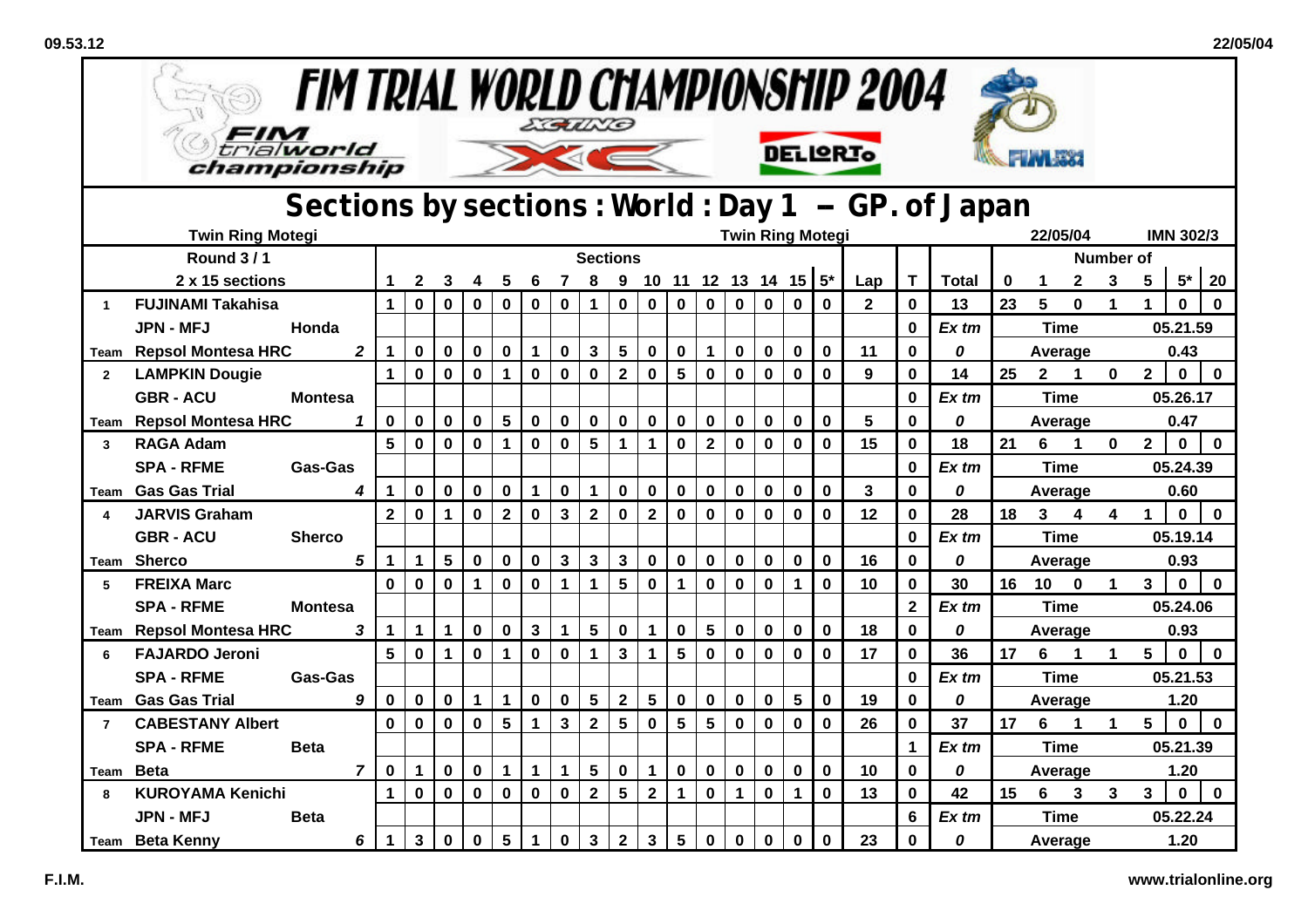| <b>FIM TRIAL WORLD CHAMPIONSHIP 2004</b><br>EGUNG<br>FIM |                                    |                                                   |                         |              |              |                      |                 |              |                         |                         |                 |                           |                 |                         |             |                 |                |              |                 |                         |              |                  |                         |                         |                      |                         |              |              |
|----------------------------------------------------------|------------------------------------|---------------------------------------------------|-------------------------|--------------|--------------|----------------------|-----------------|--------------|-------------------------|-------------------------|-----------------|---------------------------|-----------------|-------------------------|-------------|-----------------|----------------|--------------|-----------------|-------------------------|--------------|------------------|-------------------------|-------------------------|----------------------|-------------------------|--------------|--------------|
|                                                          | trialworld<br>championship         |                                                   |                         |              |              |                      |                 |              |                         |                         |                 |                           |                 |                         |             | <b>DELIGRIO</b> |                |              |                 |                         |              |                  |                         |                         |                      |                         |              |              |
|                                                          |                                    | Sections by sections: World: Day 1 - GP. of Japan |                         |              |              |                      |                 |              |                         |                         |                 |                           |                 |                         |             |                 |                |              |                 |                         |              |                  |                         |                         |                      |                         |              |              |
|                                                          | <b>Twin Ring Motegi</b>            |                                                   | <b>Twin Ring Motegi</b> |              |              |                      |                 |              |                         |                         |                 |                           |                 |                         |             |                 |                |              | 22/05/04        |                         |              | <b>IMN 302/3</b> |                         |                         |                      |                         |              |              |
|                                                          | <b>Round 3/1</b>                   |                                                   |                         |              |              |                      |                 |              | <b>Sections</b>         |                         |                 |                           |                 |                         |             |                 |                |              |                 |                         |              |                  |                         | <b>Number of</b>        |                      |                         |              |              |
|                                                          | 2 x 15 sections                    |                                                   |                         | $\mathbf{2}$ | 3            | 4                    | 5               | 6            | $\overline{7}$          | 8                       |                 | 9 10 11 12 13 14 15 $5^*$ |                 |                         |             |                 |                |              | Lap             | T                       | <b>Total</b> | 0                | $\mathbf 1$             | $\mathbf{2}$            | $\mathbf 3$          | 5                       | $5*$         | 20           |
|                                                          | <b>FUJINAMI Takahisa</b>           |                                                   | $\mathbf 1$             | $\pmb{0}$    | $\mathbf 0$  | $\mathbf 0$          | $\mathbf 0$     | $\mathbf 0$  | 0                       | $\mathbf 1$             | 0               | 0                         | $\mathbf 0$     | $\mathbf 0$             | $\mathbf 0$ | $\bf{0}$        | $\mathbf 0$    | $\bf{0}$     | $\overline{2}$  | $\mathbf{0}$            | 13           | 23               | 5                       | $\bf{0}$                | $\mathbf 1$          | $\mathbf 1$             | $\bf{0}$     | $\mathbf{0}$ |
|                                                          | <b>JPN - MFJ</b>                   | Honda                                             |                         |              |              |                      |                 |              |                         |                         |                 |                           |                 |                         |             |                 |                |              |                 | $\bf{0}$                | Ex tm        |                  | <b>Time</b>             |                         |                      |                         | 05.21.59     |              |
| Team                                                     | <b>Repsol Montesa HRC</b>          | $\overline{2}$                                    | $\mathbf 1$             | $\mathbf 0$  | $\mathbf 0$  | $\mathbf 0$          | $\mathbf 0$     | $\mathbf{1}$ | $\mathbf 0$             | $\mathbf{3}$            | $5\phantom{.0}$ | $\mathbf 0$               | $\mathbf 0$     | $\mathbf{1}$            | $\mathbf 0$ | $\mathbf 0$     | $\mathbf 0$    | $\mathbf 0$  | 11              | $\mathbf 0$             | 0            |                  |                         | Average                 |                      |                         | 0.43         |              |
| $\overline{2}$                                           | <b>LAMPKIN Dougie</b>              |                                                   | $\mathbf 1$             | $\bf{0}$     | $\bf{0}$     | $\mathbf 0$          | $\mathbf{1}$    | $\mathbf 0$  | $\mathbf 0$             | $\pmb{0}$               | $\mathbf{2}$    | $\mathbf 0$               | 5               | $\mathbf 0$             | $\mathbf 0$ | $\mathbf 0$     | $\mathbf 0$    | $\bf{0}$     | 9               | $\bf{0}$                | 14           | 25               | $2^{\circ}$             | $\mathbf 1$             | $\mathbf 0$          | $\mathbf 2$             | $\mathbf 0$  | $\mathbf 0$  |
|                                                          | <b>GBR - ACU</b><br><b>Montesa</b> |                                                   |                         |              |              |                      |                 |              |                         |                         |                 |                           |                 |                         |             |                 |                |              |                 | $\bf{0}$                | $Ex$ tm      |                  | <b>Time</b>             |                         |                      |                         | 05.26.17     |              |
|                                                          | Team Repsol Montesa HRC            | $\mathbf 0$<br>$\mathbf{1}$                       |                         |              | $\mathbf 0$  | $\pmb{0}$            | $5\phantom{.0}$ | $\pmb{0}$    | $\pmb{0}$               | $\pmb{0}$               | 0               | $\mathbf 0$               | $\mathbf 0$     | $\mathbf 0$             | $\mathbf 0$ | $\mathbf 0$     | $\mathbf 0$    | $\mathbf 0$  | $5\phantom{.0}$ | $\bf{0}$                | 0            |                  | Average                 |                         |                      |                         | 0.47         |              |
| 3                                                        | <b>RAGA Adam</b>                   |                                                   | 5                       | $\mathbf 0$  | $\mathbf 0$  | $\mathbf 0$          | $\mathbf 1$     | $\mathbf 0$  | $\mathbf 0$             | 5                       | $\mathbf{1}$    | $\mathbf{1}$              | $\mathbf 0$     | $\overline{\mathbf{2}}$ | $\mathbf 0$ | $\mathbf 0$     | $\mathbf 0$    | $\mathbf 0$  | 15              | $\mathbf 0$             | 18           | 21               | 6                       | $\mathbf 1$             | $\mathbf 0$          | $\overline{\mathbf{2}}$ | $\mathbf 0$  | $\mathbf 0$  |
|                                                          | <b>SPA - RFME</b>                  | Gas-Gas                                           |                         |              |              |                      |                 |              |                         |                         |                 |                           |                 |                         |             |                 |                |              |                 | $\bf{0}$                | Ex tm        |                  | <b>Time</b>             |                         |                      |                         | 05.24.39     |              |
| Team                                                     | <b>Gas Gas Trial</b>               | 4                                                 | 1                       | $\mathbf 0$  | $\mathbf 0$  | $\bf{0}$             | $\mathbf 0$     | $\mathbf{1}$ | $\mathbf 0$             | $\mathbf 1$             | $\mathbf 0$     | $\mathbf 0$               | 0               | $\mathbf 0$             | $\mathbf 0$ | $\mathbf 0$     | $\mathbf 0$    | $\mathbf 0$  | 3               | $\bf{0}$                | 0            |                  | Average                 |                         |                      |                         | 0.60         |              |
|                                                          | <b>JARVIS Graham</b>               |                                                   | $\overline{2}$          | $\mathbf 0$  | $\mathbf 1$  | $\mathbf 0$          | $\overline{2}$  | $\mathbf 0$  | $\overline{\mathbf{3}}$ | $\overline{2}$          | $\mathbf 0$     | $\mathbf{2}$              | $\mathbf 0$     | $\mathbf 0$             | $\mathbf 0$ | $\mathbf 0$     | $\mathbf 0$    | $\mathbf 0$  | 12              | $\mathbf{0}$            | 28           | 18               | $\overline{\mathbf{3}}$ | $\overline{\mathbf{4}}$ | $\boldsymbol{4}$     | $\mathbf 1$             | $\mathbf{0}$ | $\mathbf 0$  |
|                                                          | <b>GBR - ACU</b>                   | <b>Sherco</b>                                     |                         |              |              |                      |                 |              |                         |                         |                 |                           |                 |                         |             |                 |                |              |                 | $\bf{0}$                | $Ex$ tm      |                  | <b>Time</b>             |                         |                      |                         | 05.19.14     |              |
| Team                                                     | Sherco                             | 5                                                 | $\mathbf 1$             | $\mathbf 1$  | 5            | $\mathbf 0$          | $\mathbf 0$     | $\mathbf 0$  | 3                       | $\mathbf{3}$            | $\mathbf{3}$    | $\mathbf 0$               | $\mathbf 0$     | $\mathbf 0$             | $\mathbf 0$ | $\mathbf 0$     | $\mathbf 0$    | $\mathbf 0$  | 16              | $\bf{0}$                | 0            |                  | Average                 |                         |                      |                         | 0.93         |              |
| 5                                                        | <b>FREIXA Marc</b>                 |                                                   | $\mathbf{0}$            | $\mathbf 0$  | $\mathbf 0$  | $\blacktriangleleft$ | $\mathbf 0$     | $\mathbf 0$  | $\mathbf{1}$            | $\mathbf{1}$            | $5\overline{)}$ | $\mathbf 0$               | $\mathbf{1}$    | $\mathbf 0$             | $\mathbf 0$ | $\bf{0}$        | 1              | $\mathbf 0$  | 10              | $\mathbf{0}$            | 30           | 16               | 10                      | $\bf{0}$                | $\blacktriangleleft$ | $\mathbf{3}$            | $\mathbf 0$  | $\mathbf 0$  |
|                                                          | <b>SPA - RFME</b>                  | <b>Montesa</b>                                    |                         |              |              |                      |                 |              |                         |                         |                 |                           |                 |                         |             |                 |                |              |                 | $\overline{\mathbf{2}}$ | Ex tm        |                  | <b>Time</b>             |                         |                      |                         | 05.24.06     |              |
|                                                          | Team Repsol Montesa HRC            | 3                                                 | $\mathbf 1$             | $\mathbf 1$  | $\mathbf{1}$ | $\mathbf 0$          | $\mathbf 0$     | $\mathbf 3$  | $\mathbf{1}$            | 5                       | $\mathbf 0$     | $\mathbf{1}$              | $\mathbf 0$     | 5                       | $\mathbf 0$ | $\mathbf 0$     | $\mathbf 0$    | $\mathbf 0$  | 18              | $\bf{0}$                | 0            |                  |                         | Average                 |                      |                         | 0.93         |              |
| 6                                                        | <b>FAJARDO Jeroni</b>              |                                                   | 5                       | $\mathbf 0$  | $\mathbf{1}$ | $\mathbf 0$          | $\mathbf{1}$    | $\mathbf 0$  | $\mathbf 0$             | $\mathbf{1}$            | $\mathbf{3}$    | $\mathbf{1}$              | $5\phantom{.0}$ | $\mathbf 0$             | $\mathbf 0$ | $\mathbf 0$     | $\mathbf 0$    | $\mathbf 0$  | 17              | $\bf{0}$                | 36           | 17               | 6                       | $\mathbf 1$             | $\blacktriangleleft$ | 5                       | $\mathbf 0$  | $\mathbf 0$  |
|                                                          | <b>SPA - RFME</b>                  | <b>Gas-Gas</b>                                    |                         |              |              |                      |                 |              |                         |                         |                 |                           |                 |                         |             |                 |                |              |                 | $\bf{0}$                | $Ex$ tm      |                  | <b>Time</b>             |                         |                      |                         | 05.21.53     |              |
|                                                          | <b>Team</b> Gas Gas Trial          | 9                                                 | 0                       | $\mathbf 0$  | 0            | $\mathbf 1$          | $\mathbf{1}$    | $\mathbf 0$  | $\pmb{0}$               | $5\phantom{.0}$         | $\mathbf{2}$    | 5                         | $\mathbf 0$     | $\mathbf 0$             | $\pmb{0}$   | $\pmb{0}$       | $5\phantom{a}$ | $\mathbf 0$  | 19              | 0                       | 0            |                  |                         | Average                 |                      |                         | 1.20         |              |
| $\overline{7}$                                           | <b>CABESTANY Albert</b>            |                                                   | $\mathbf{0}$            | $\mathbf 0$  | $\mathbf 0$  | $\mathbf 0$          | 5               | $\mathbf 1$  | $\overline{3}$          | $\overline{\mathbf{2}}$ | 5               | $\mathbf 0$               | 5               | 5                       | $\mathbf 0$ | $\mathbf 0$     | $\mathbf 0$    | $\mathbf 0$  | 26              | $\bf{0}$                | 37           | 17               | 6                       | $\mathbf 1$             | $\mathbf 1$          | 5                       | $\mathbf{0}$ | $\mathbf{0}$ |
|                                                          | <b>SPA - RFME</b>                  | <b>Beta</b>                                       |                         |              |              |                      |                 |              |                         |                         |                 |                           |                 |                         |             |                 |                |              |                 | $\overline{\mathbf{1}}$ | $Ex$ tm      |                  | <b>Time</b>             |                         |                      |                         | 05.21.39     |              |
|                                                          | Team Beta                          | $\overline{7}$                                    | $\mathbf 0$             | $\mathbf{1}$ | $\mathbf 0$  | $\pmb{0}$            | $\mathbf{1}$    | $\mathbf 1$  | $\mathbf 1$             | 5                       | $\mathbf 0$     | $\mathbf{1}$              | $\mathbf 0$     | $\pmb{0}$               | $\pmb{0}$   | $\pmb{0}$       | $\mathbf 0$    | $\pmb{0}$    | 10              | $\bf{0}$                | 0            |                  |                         | Average                 |                      |                         | 1.20         |              |
| 8                                                        | <b>KUROYAMA Kenichi</b>            |                                                   | $\mathbf 1$             | $\mathbf 0$  | $\mathbf{0}$ | $\mathbf 0$          | $\mathbf 0$     | $\mathbf 0$  | $\mathbf 0$             | $\overline{2}$          | 5 <sup>5</sup>  | $\mathbf 2$               | $\mathbf 1$     | $\mathbf 0$             | $\mathbf 1$ | $\mathbf 0$     | $\mathbf{1}$   | $\mathbf{0}$ | 13              | $\mathbf 0$             | 42           | 15               | 6                       | 3                       | 3                    | 3                       | $\mathbf 0$  | $\mathbf{0}$ |
|                                                          | <b>JPN - MFJ</b>                   | <b>Beta</b>                                       |                         |              |              |                      |                 |              |                         |                         |                 |                           |                 |                         |             |                 |                |              |                 | 6                       | Ex tm        |                  | <b>Time</b>             |                         |                      |                         | 05.22.24     |              |
|                                                          | <b>Team</b> Beta Kenny             | $\mathbf 1$                                       | $\mathbf{3}$            | $\mathbf 0$  | $\mathbf 0$  | 5                    | $\mathbf{1}$    | 0            | $\mathbf{3}$            | $\overline{2}$          | $\mathbf{3}$    | 5                         | $\mathbf 0$     | $\mathbf 0$             | $\mathbf 0$ | $\mathbf 0$     | $\mathbf 0$    | 23           | 0               | 0                       |              |                  | Average                 |                         |                      | 1.20                    |              |              |

 $52$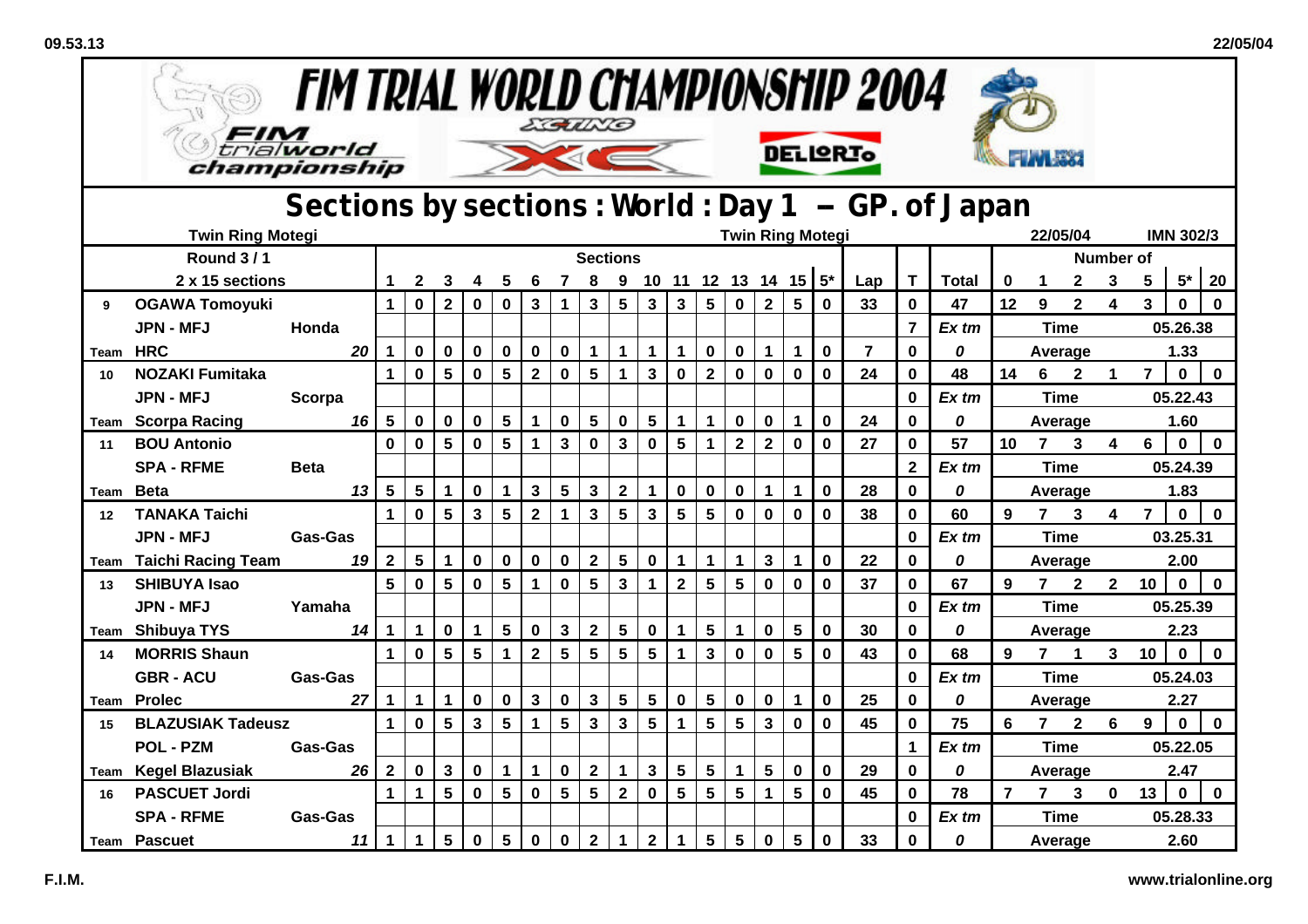| <b>FIM TRIAL WORLD CHAMPIONSHIP 2004</b><br>EGUNG |                                     |                                                    |                      |                 |                 |                 |                 |                         |                 |                         |                         |                 |                         |                         |                 |                      |                           |                         |                |                |              |                |                |                |                         |                |                  |              |
|---------------------------------------------------|-------------------------------------|----------------------------------------------------|----------------------|-----------------|-----------------|-----------------|-----------------|-------------------------|-----------------|-------------------------|-------------------------|-----------------|-------------------------|-------------------------|-----------------|----------------------|---------------------------|-------------------------|----------------|----------------|--------------|----------------|----------------|----------------|-------------------------|----------------|------------------|--------------|
|                                                   | trialworld<br>championship          |                                                    |                      |                 |                 |                 |                 |                         |                 |                         |                         |                 |                         |                         |                 |                      |                           | <b>DELIGRIO</b>         |                |                |              |                |                |                |                         |                |                  |              |
|                                                   |                                     | Sections by sections: World: Day 1 -- GP. of Japan |                      |                 |                 |                 |                 |                         |                 |                         |                         |                 |                         |                         |                 |                      |                           |                         |                |                |              |                |                |                |                         |                |                  |              |
|                                                   | <b>Twin Ring Motegi</b>             |                                                    |                      |                 |                 |                 |                 |                         |                 |                         |                         |                 |                         |                         |                 |                      |                           | <b>Twin Ring Motegi</b> |                |                |              |                | 22/05/04       |                |                         |                | <b>IMN 302/3</b> |              |
|                                                   | <b>Round 3/1</b>                    |                                                    |                      |                 |                 |                 |                 |                         |                 | <b>Sections</b>         |                         |                 |                         |                         |                 |                      |                           |                         |                |                |              |                |                |                | <b>Number of</b>        |                |                  |              |
|                                                   | 2 x 15 sections                     |                                                    |                      | $\mathbf{2}$    |                 |                 | 5               | 6                       |                 | 8                       |                         |                 |                         |                         |                 |                      | 9 10 11 12 13 14 15 $5^*$ |                         | Lap            | T.             | <b>Total</b> | 0              | $\mathbf 1$    | $\mathbf{2}$   | 3                       | 5              | $5*$             | 20           |
| 9                                                 | <b>OGAWA Tomoyuki</b>               |                                                    | $\mathbf 1$          | $\mathbf 0$     | $\overline{2}$  | $\bf{0}$        | 0               | 3                       | $\mathbf 1$     | $\mathbf{3}$            | $5\phantom{.0}$         | $\mathbf{3}$    | $\mathbf{3}$            | $5\phantom{.0}$         | $\mathbf 0$     | $\overline{2}$       | $5\phantom{1}$            | $\mathbf{0}$            | 33             | $\mathbf{0}$   | 47           | 12             | 9              | $\overline{2}$ | 4                       | 3              | $\bf{0}$         | $\mathbf{0}$ |
|                                                   | <b>JPN - MFJ</b>                    | Honda                                              |                      |                 |                 |                 |                 |                         |                 |                         |                         |                 |                         |                         |                 |                      |                           |                         |                | $\overline{7}$ | Ex tm        |                | <b>Time</b>    |                |                         |                | 05.26.38         |              |
| Team                                              | <b>HRC</b>                          | 20                                                 | 1                    | 0               | 0               | $\mathbf 0$     | 0               | $\mathbf 0$             | $\mathbf 0$     | $\mathbf 1$             | $\mathbf 1$             | $\mathbf 1$     | $\mathbf 1$             | $\mathbf 0$             | 0               | $\blacktriangleleft$ | $\mathbf 1$               | $\mathbf 0$             | $\overline{7}$ | $\bf{0}$       | 0            |                | Average        |                |                         |                | 1.33             |              |
| 10                                                | <b>NOZAKI Fumitaka</b>              |                                                    | $\mathbf{1}$         | $\mathbf 0$     | $5\phantom{.0}$ | $\mathbf 0$     | 5               | $\mathbf{2}$            | $\mathbf 0$     | $5\phantom{.0}$         | $\mathbf{1}$            | $\mathbf{3}$    | $\mathbf 0$             | $\overline{\mathbf{2}}$ | $\mathbf 0$     | $\mathbf 0$          | $\bf{0}$                  | $\mathbf 0$             | 24             | 0              | 48           | 14             | $6\quad$       | $\mathbf{2}$   | $\mathbf 1$             | $\overline{7}$ | $\mathbf 0$      | $\mathbf 0$  |
|                                                   | <b>JPN - MFJ</b>                    | Scorpa                                             |                      |                 |                 |                 |                 |                         |                 |                         |                         |                 |                         |                         |                 |                      |                           |                         |                | $\mathbf{0}$   | Ex tm        |                | <b>Time</b>    |                |                         |                | 05.22.43         |              |
|                                                   | <b>Team Scorpa Racing</b>           | 16                                                 | 5                    | $\mathbf 0$     | $\bf{0}$        | $\mathbf 0$     | $5\phantom{1}$  | $\mathbf{1}$            | $\mathbf 0$     | $\overline{\mathbf{5}}$ | $\mathbf 0$             | $5\phantom{1}$  | $\mathbf 1$             | 1                       | $\mathbf 0$     | $\mathbf 0$          | $\mathbf 1$               | $\mathbf 0$             | 24             | $\bf{0}$       | 0            |                | Average        |                |                         |                | 1.60             |              |
| 11                                                | <b>BOU Antonio</b>                  |                                                    | $\mathbf{0}$         | $\mathbf 0$     | $5\phantom{.0}$ | $\mathbf 0$     | $5\phantom{.0}$ | $\mathbf{1}$            | $\mathbf{3}$    | $\mathbf 0$             | $\overline{\mathbf{3}}$ | $\mathbf 0$     | $5\phantom{.0}$         | 1                       | $\mathbf 2$     | $\mathbf{2}$         | $\mathbf 0$               | $\mathbf 0$             | 27             | $\bf{0}$       | 57           | 10             | $\overline{7}$ | 3              | $\overline{\mathbf{4}}$ | 6              | $\mathbf 0$      | $\mathbf 0$  |
|                                                   | <b>SPA - RFME</b>                   | <b>Beta</b>                                        |                      |                 |                 |                 |                 |                         |                 |                         |                         |                 |                         |                         |                 |                      |                           |                         |                | $\mathbf{2}$   | $Ex$ tm      |                | <b>Time</b>    |                |                         |                | 05.24.39         |              |
| Team                                              | <b>Beta</b>                         | 13                                                 | 5                    | $5\phantom{.0}$ | $\mathbf 1$     | $\mathbf 0$     | 1               | $\mathbf{3}$            | 5               | $\mathbf{3}$            | $\mathbf{2}$            | $\mathbf 1$     | $\mathbf 0$             | $\mathbf 0$             | $\mathbf 0$     | $\mathbf 1$          | $\mathbf 1$               | $\mathbf 0$             | 28             | 0              | 0            |                | Average        |                |                         |                | 1.83             |              |
| 12                                                | <b>TANAKA Taichi</b>                |                                                    | $\mathbf{1}$         | $\mathbf 0$     | $5\phantom{1}$  | $\mathbf{3}$    | $5\phantom{1}$  | $\overline{\mathbf{2}}$ | $\mathbf{1}$    | $\overline{\mathbf{3}}$ | $5\phantom{.0}$         | $\mathbf{3}$    | $5\phantom{.0}$         | $5\phantom{.0}$         | $\mathbf{0}$    | $\mathbf 0$          | $\mathbf 0$               | $\mathbf 0$             | 38             | $\mathbf{0}$   | 60           | 9              | 7 <sup>7</sup> | $\mathbf{3}$   | $\overline{\mathbf{4}}$ | $\overline{7}$ | $\mathbf 0$      | $\mathbf 0$  |
|                                                   | <b>JPN - MFJ</b>                    | Gas-Gas                                            |                      |                 |                 |                 |                 |                         |                 |                         |                         |                 |                         |                         |                 |                      |                           |                         |                | $\bf{0}$       | Ex tm        |                | <b>Time</b>    |                |                         | 03.25.31       |                  |              |
| Team                                              | <b>Taichi Racing Team</b>           | 19                                                 | $\mathbf{2}$         | $5\phantom{.0}$ | $\mathbf 1$     | 0               | 0               | $\bf{0}$                | $\mathbf 0$     | $\overline{\mathbf{2}}$ | 5                       | $\mathbf 0$     | $\mathbf 1$             | 1                       | 1               | $\mathbf{3}$         | $\mathbf 1$               | $\mathbf 0$             | 22             | $\bf{0}$       | 0            |                | Average        |                |                         |                | 2.00             |              |
| 13                                                | <b>SHIBUYA Isao</b>                 |                                                    | 5                    | $\mathbf 0$     | 5               | $\bf{0}$        | 5               | $\mathbf 1$             | $\mathbf 0$     | 5                       | $\mathbf{3}$            | $\mathbf 1$     | $\mathbf{2}$            | 5                       | 5               | $\mathbf 0$          | 0                         | $\mathbf 0$             | 37             | 0              | 67           | 9              | 7 <sup>7</sup> | $\mathbf{2}$   | $\mathbf{2}$            | 10             | $\mathbf 0$      | $\mathbf 0$  |
|                                                   | <b>JPN - MFJ</b>                    | Yamaha                                             |                      |                 |                 |                 |                 |                         |                 |                         |                         |                 |                         |                         |                 |                      |                           |                         |                | $\Omega$       | $Ex$ tm      |                | <b>Time</b>    |                |                         |                | 05.25.39         |              |
|                                                   | Team Shibuya TYS                    | 14                                                 | $\mathbf 1$          | $\mathbf 1$     | $\mathbf 0$     | 1               | $5\phantom{.0}$ | $\mathbf 0$             | $\mathbf{3}$    | $\overline{\mathbf{2}}$ | 5                       | $\mathbf 0$     | $\mathbf 1$             | $5\phantom{.0}$         | 1               | $\mathbf 0$          | $5\phantom{1}$            | $\mathbf 0$             | 30             | $\bf{0}$       | 0            |                | Average        |                |                         |                | 2.23             |              |
| 14                                                | <b>MORRIS Shaun</b>                 |                                                    | $\mathbf{1}$         | $\mathbf{0}$    | $5\phantom{.0}$ | $5\phantom{.0}$ | 1               | $\overline{2}$          | $5\phantom{.0}$ | $5\phantom{.0}$         | $5\phantom{.0}$         | $5\phantom{.0}$ | $\mathbf{1}$            | $\overline{\mathbf{3}}$ | $\mathbf 0$     | $\mathbf 0$          | $5\phantom{.0}$           | $\mathbf 0$             | 43             | $\mathbf{0}$   | 68           | 9              | $7^{\circ}$    | $\mathbf{1}$   | $\mathbf{3}$            | 10             | $\mathbf 0$      | $\mathbf 0$  |
|                                                   | <b>GBR - ACU</b>                    | Gas-Gas                                            |                      |                 |                 |                 |                 |                         |                 |                         |                         |                 |                         |                         |                 |                      |                           |                         |                | $\bf{0}$       | Ex tm        |                | <b>Time</b>    |                |                         |                | 05.24.03         |              |
| Team                                              | <b>Prolec</b>                       | 27                                                 | $\blacktriangleleft$ | $\mathbf 1$     | $\mathbf 1$     | $\bf{0}$        | 0               | $\mathbf{3}$            | $\mathbf 0$     | $\mathbf{3}$            | 5                       | $5\phantom{.0}$ | $\mathbf 0$             | 5                       | $\mathbf 0$     | $\mathbf 0$          | $\mathbf 1$               | $\mathbf 0$             | 25             | 0              | 0            |                | Average        |                |                         |                | 2.27             |              |
| 15                                                | <b>BLAZUSIAK Tadeusz</b>            |                                                    | $\mathbf{1}$         | $\mathbf{0}$    | $5\phantom{.0}$ | $\mathbf{3}$    | $5\phantom{.0}$ | $\mathbf{1}$            | $5\phantom{.0}$ | $\mathbf{3}$            | $\mathbf{3}$            | $5\phantom{.0}$ | 1                       | 5                       | $5\phantom{.0}$ | $\mathbf{3}$         | $\mathbf 0$               | $\mathbf 0$             | 45             | $\mathbf{0}$   | 75           | 6              | $7^{\circ}$    | $\mathbf{2}$   | 6                       | 9              | $\mathbf 0$      | $\mathbf 0$  |
|                                                   | <b>POL - PZM</b>                    | Gas-Gas                                            |                      |                 |                 |                 |                 |                         |                 |                         |                         |                 |                         |                         |                 |                      |                           |                         |                | $\mathbf 1$    | $Ex$ tm      |                | <b>Time</b>    |                |                         |                | 05.22.05         |              |
| Team                                              | Kegel Blazusiak                     | 26                                                 | $\mathbf{2}$         | $\mathbf 0$     | 3               | $\mathbf 0$     | $\mathbf 1$     | $\mathbf{1}$            | $\mathbf 0$     | $\mathbf 2$             | $\mathbf 1$             | $\mathbf{3}$    | $\overline{\mathbf{5}}$ | $5\phantom{1}$          | 1               | $5\phantom{.0}$      | $\mathbf 0$               | $\mathbf 0$             | 29             | $\bf{0}$       | 0            |                | Average        |                |                         |                | 2.47             |              |
| 16                                                | <b>PASCUET Jordi</b>                |                                                    | $\mathbf 1$          | $\mathbf{1}$    | 5               | $\mathbf 0$     | $5\phantom{1}$  | $\mathbf 0$             | $5\phantom{1}$  | $5\phantom{.0}$         | $\mathbf{2}$            | $\mathbf 0$     | 5                       | $5\phantom{1}$          | $5\phantom{1}$  | $\blacktriangleleft$ | 5                         | $\mathbf 0$             | 45             | $\mathbf 0$    | 78           | $\overline{7}$ | $7^{\circ}$    | $\mathbf{3}$   | $\mathbf 0$             | 13             | $\mathbf 0$      | $\mathbf 0$  |
|                                                   | <b>SPA - RFME</b><br><b>Gas-Gas</b> |                                                    |                      |                 |                 |                 |                 |                         |                 |                         |                         |                 |                         |                         |                 |                      |                           |                         |                | $\Omega$       | Ex tm        |                | <b>Time</b>    |                |                         |                | 05.28.33         |              |
|                                                   | <b>Team Pascuet</b>                 | 11                                                 | $\mathbf 1$          | $\mathbf{1}$    | $5\phantom{.0}$ | $\mathbf 0$     | $5\phantom{.0}$ | $\mathbf 0$             | $\mathbf 0$     | $\mathbf{2}$            | 1                       | $\overline{2}$  | $\mathbf{1}$            | $5\phantom{1}$          | 5               | $\mathbf 0$          | $5\phantom{.0}$           | $\mathbf 0$             | 33             | $\bf{0}$       | 0            |                | Average        |                |                         |                | 2.60             |              |

 $52$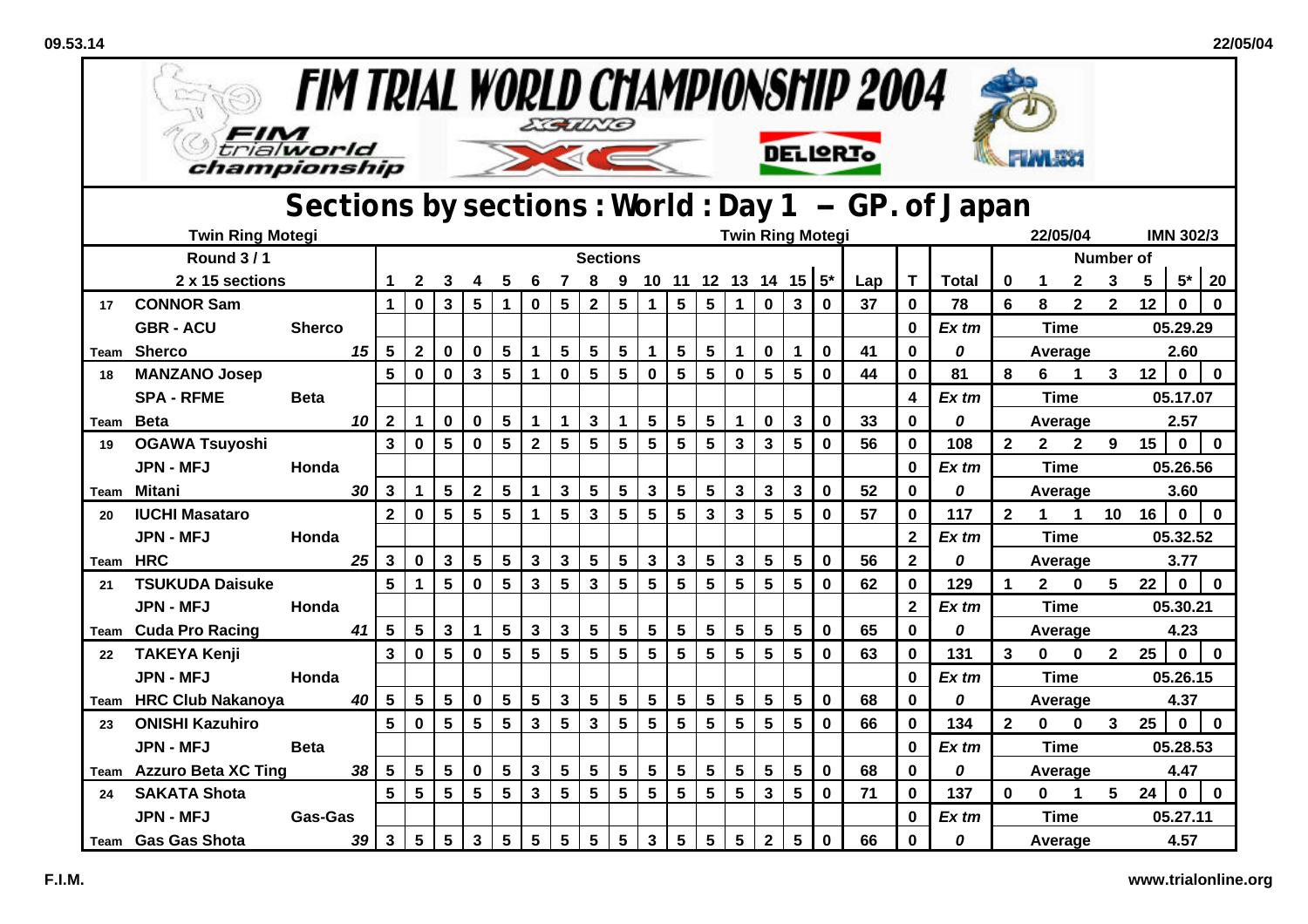| <b>FIM TRIAL WORLD CHAMPIONSHIP 2004</b><br>EGUND |                                    |                                                    |                 |                         |                         |                 |                |                 |                         |                 |                         |                 |                           |                         |                 |                         |                         |                         |             |          |                         |              |                |              |                         |                  |          |                  |             |
|---------------------------------------------------|------------------------------------|----------------------------------------------------|-----------------|-------------------------|-------------------------|-----------------|----------------|-----------------|-------------------------|-----------------|-------------------------|-----------------|---------------------------|-------------------------|-----------------|-------------------------|-------------------------|-------------------------|-------------|----------|-------------------------|--------------|----------------|--------------|-------------------------|------------------|----------|------------------|-------------|
|                                                   | trialworld<br>championship         |                                                    |                 |                         |                         |                 |                |                 |                         |                 |                         |                 |                           |                         |                 |                         |                         | <b>DELIQRIO</b>         |             |          |                         |              |                |              |                         |                  |          |                  |             |
|                                                   |                                    | Sections by sections: World: Day 1 -- GP. of Japan |                 |                         |                         |                 |                |                 |                         |                 |                         |                 |                           |                         |                 |                         |                         |                         |             |          |                         |              |                |              |                         |                  |          |                  |             |
|                                                   | <b>Twin Ring Motegi</b>            |                                                    |                 |                         |                         |                 |                |                 |                         |                 |                         |                 |                           |                         |                 |                         |                         | <b>Twin Ring Motegi</b> |             |          |                         |              |                | 22/05/04     |                         |                  |          | <b>IMN 302/3</b> |             |
|                                                   | <b>Round 3/1</b>                   |                                                    |                 |                         |                         |                 |                |                 |                         |                 | <b>Sections</b>         |                 |                           |                         |                 |                         |                         |                         |             |          |                         |              |                |              |                         | <b>Number of</b> |          |                  |             |
|                                                   | 2 x 15 sections                    |                                                    |                 |                         | $\mathbf{2}$            | 3               | 4              | 5               | 6                       | $\overline{7}$  | 8                       |                 | 9 10 11 12 13 14 15 $5^*$ |                         |                 |                         |                         |                         |             | Lap      | T.                      | <b>Total</b> | 0              | $\mathbf 1$  | $\mathbf 2$             | 3                | 5        | $5^*$            | 20          |
| 17                                                | <b>CONNOR Sam</b>                  |                                                    |                 | $\mathbf{1}$            | $\mathbf 0$             | $\mathbf{3}$    | 5              | 1               | $\mathbf 0$             | 5               | $\overline{2}$          | $5\phantom{.0}$ | 1                         | $5\phantom{1}$          | $5\phantom{a}$  | $\blacktriangleleft$    | $\mathbf 0$             | $\mathbf{3}$            | $\mathbf 0$ | 37       | $\mathbf{0}$            | 78           | 6              | 8            | $\overline{\mathbf{2}}$ | $\overline{2}$   | 12       | $\bf{0}$         | $\mathbf 0$ |
|                                                   | <b>GBR - ACU</b>                   | <b>Sherco</b>                                      |                 |                         |                         |                 |                |                 |                         |                 |                         |                 |                           |                         |                 |                         |                         |                         |             | $\bf{0}$ | $Ex$ tm                 |              | <b>Time</b>    |              |                         |                  | 05.29.29 |                  |             |
| Team                                              | <b>Sherco</b>                      |                                                    | 15              | 5                       | $\mathbf{2}$            | $\mathbf 0$     | $\mathbf 0$    | 5               | $\mathbf 1$             | $5\phantom{.0}$ | $5\phantom{1}$          | $5\phantom{.0}$ | $\mathbf{1}$              | 5                       | 5               | $\mathbf 1$             | $\mathbf 0$             | $\mathbf 1$             | $\mathbf 0$ | 41       | 0                       | 0            |                |              | Average                 |                  |          | 2.60             |             |
| 18                                                | <b>MANZANO Josep</b>               |                                                    |                 | 5                       | $\mathbf 0$             | $\mathbf 0$     | $\mathbf{3}$   | 5               | 1                       | $\pmb{0}$       | $5\phantom{.0}$         | $5\phantom{a}$  | $\mathbf 0$               | $5\phantom{1}$          | 5               | $\mathbf 0$             | $5\phantom{.0}$         | $5\phantom{.0}$         | $\mathbf 0$ | 44       | 0                       | 81           | 8              | 6            | $\mathbf 1$             | 3 <sup>7</sup>   | 12       | $\mathbf 0$      | $\mathbf 0$ |
|                                                   | <b>SPA - RFME</b>                  | <b>Beta</b>                                        |                 |                         |                         |                 |                |                 |                         |                 |                         |                 |                           |                         |                 |                         |                         |                         |             |          | 4                       | $Ex$ tm      |                | <b>Time</b>  |                         |                  |          | 05.17.07         |             |
|                                                   | Team Beta                          |                                                    | 10              | $\mathbf{2}$            | $\mathbf 1$             | $\mathbf 0$     | $\mathbf 0$    | 5               | $\mathbf{1}$            | $\mathbf 1$     | $\mathbf{3}$            | $\mathbf 1$     | 5                         | $\overline{\mathbf{5}}$ | $5\phantom{.0}$ | $\mathbf{1}$            | $\mathbf 0$             | $\mathbf{3}$            | $\bf{0}$    | 33       | $\mathbf 0$             | 0            |                | Average      |                         |                  |          | 2.57             |             |
| 19                                                | <b>OGAWA Tsuyoshi</b>              |                                                    |                 | $\overline{\mathbf{3}}$ | $\mathbf 0$             | $5\phantom{a}$  | $\mathbf 0$    | 5               | $\overline{\mathbf{2}}$ | $5\phantom{1}$  | $5\phantom{1}$          | $5\phantom{a}$  | $5\phantom{.0}$           | $5\phantom{a}$          | 5               | $\overline{\mathbf{3}}$ | $\overline{\mathbf{3}}$ | $5\phantom{1}$          | $\mathbf 0$ | 56       | $\mathbf 0$             | 108          | $\mathbf{2}$   | $\mathbf{2}$ | $\mathbf{2}$            | $9^{\circ}$      | 15       | $\mathbf 0$      | $\mathbf 0$ |
|                                                   | <b>JPN - MFJ</b>                   | Honda                                              |                 |                         |                         |                 |                |                 |                         |                 |                         |                 |                           |                         |                 |                         |                         |                         |             |          | 0                       | $Ex$ tm      |                | <b>Time</b>  |                         |                  | 05.26.56 |                  |             |
| Team                                              | <b>Mitani</b>                      |                                                    | 30              | $\mathbf{3}$            | $\mathbf 1$             | $5\phantom{1}$  | $\overline{2}$ | 5               | $\mathbf 1$             | $\mathbf{3}$    | $5\phantom{.0}$         | $5\phantom{.0}$ | 3                         | $5\phantom{1}$          | 5               | $\mathbf{3}$            | $\mathbf{3}$            | $\mathbf{3}$            | $\mathbf 0$ | 52       | 0                       | 0            |                |              | Average                 | 3.60             |          |                  |             |
| 20                                                | <b>IUCHI Masataro</b>              |                                                    |                 | $\overline{2}$          | $\mathbf 0$             | $5\phantom{.0}$ | $5\phantom{1}$ | $5\phantom{.0}$ | $\mathbf{1}$            | $5\phantom{a}$  | $\overline{\mathbf{3}}$ | $5\overline{)}$ | $5\overline{)}$           | $5\phantom{a}$          | $\mathbf{3}$    | $\overline{\mathbf{3}}$ | $5\phantom{.0}$         | $5\phantom{a}$          | $\mathbf 0$ | 57       | $\mathbf{0}$            | 117          | $\overline{2}$ | $\mathbf{1}$ | $\mathbf{1}$            | 10               | 16       | $\mathbf 0$      | $\mathbf 0$ |
|                                                   | <b>JPN - MFJ</b>                   | Honda                                              |                 |                         |                         |                 |                |                 |                         |                 |                         |                 |                           |                         |                 |                         |                         |                         |             |          | $\overline{\mathbf{2}}$ | Ex tm        |                | <b>Time</b>  |                         |                  |          | 05.32.52         |             |
| Team                                              | <b>HRC</b>                         |                                                    | 25              | 3                       | 0                       | $\mathbf 3$     | 5              | 5               | $\mathbf{3}$            | $\mathbf{3}$    | $5\phantom{a}$          | $5\phantom{.0}$ | $\mathbf{3}$              | $\mathbf{3}$            | $5\phantom{a}$  | $\mathbf 3$             | 5                       | $5\phantom{.0}$         | $\mathbf 0$ | 56       | $\overline{2}$          | 0            |                | Average      |                         |                  |          | 3.77             |             |
| 21                                                | <b>TSUKUDA Daisuke</b>             |                                                    |                 | 5                       | $\mathbf{1}$            | 5               | $\mathbf 0$    | 5               | 3                       | $5\phantom{1}$  | $\mathbf{3}$            | $5\phantom{.0}$ | 5                         | $5\phantom{.0}$         | $5\phantom{.0}$ | $5\phantom{.0}$         | $5\phantom{.0}$         | 5                       | $\mathbf 0$ | 62       | 0                       | 129          | 1              | $2^{\circ}$  | $\mathbf 0$             | 5                | 22       | $\mathbf 0$      | $\mathbf 0$ |
|                                                   | <b>JPN - MFJ</b>                   | Honda                                              |                 |                         |                         |                 |                |                 |                         |                 |                         |                 |                           |                         |                 |                         |                         |                         |             |          | $\overline{2}$          | $Ex$ tm      |                | <b>Time</b>  |                         |                  |          | 05.30.21         |             |
|                                                   | <b>Team</b> Cuda Pro Racing        |                                                    | 41              | 5                       | $5\phantom{.0}$         | $\mathbf{3}$    | $\mathbf 1$    | 5               | $\mathbf{3}$            | $\mathbf{3}$    | $5\phantom{.0}$         | $5\phantom{.0}$ | 5                         | $5\phantom{.0}$         | $5\phantom{.0}$ | $5\phantom{.0}$         | 5                       | 5                       | $\mathbf 0$ | 65       | $\bf{0}$                | 0            |                | Average      |                         |                  |          | 4.23             |             |
| 22                                                | <b>TAKEYA Kenji</b>                |                                                    |                 | $\overline{3}$          | $\mathbf 0$             | $5\phantom{.0}$ | $\mathbf 0$    | 5               | 5                       | 5               | $5\phantom{.0}$         | $5\phantom{.0}$ | $5\phantom{.0}$           | $5\phantom{a}$          | $5\phantom{1}$  | 5                       | 5                       | $5\phantom{a}$          | $\mathbf 0$ | 63       | $\mathbf 0$             | 131          | $\mathbf{3}$   | $\mathbf 0$  | $\mathbf 0$             | $\overline{2}$   | 25       | $\mathbf 0$      | $\mathbf 0$ |
|                                                   | <b>JPN - MFJ</b>                   | Honda                                              |                 |                         |                         |                 |                |                 |                         |                 |                         |                 |                           |                         |                 |                         |                         |                         |             |          | $\bf{0}$                | Ex tm        |                | <b>Time</b>  |                         |                  |          | 05.26.15         |             |
| Team                                              | <b>HRC Club Nakanoya</b>           |                                                    | 40              | 5                       | 5                       | $5\phantom{1}$  | $\mathbf 0$    | 5               | $5\phantom{1}$          | $\mathbf{3}$    | $5\phantom{1}$          | $5\phantom{.0}$ | $5\phantom{.0}$           | 5                       | 5               | 5                       | $5\phantom{1}$          | 5                       | $\mathbf 0$ | 68       | 0                       | 0            |                |              | Average                 |                  |          | 4.37             |             |
| 23                                                | <b>ONISHI Kazuhiro</b>             |                                                    |                 | 5                       | $\mathbf{0}$            | $5\phantom{.0}$ | 5              | 5               | 3                       | 5               | $\overline{\mathbf{3}}$ | $5\phantom{.0}$ | $5\phantom{1}$            | $5\phantom{.0}$         | 5               | $5\phantom{.0}$         | 5                       | $5\phantom{.0}$         | $\mathbf 0$ | 66       | $\mathbf 0$             | 134          | $\mathbf{2}$   | $\mathbf 0$  | $\mathbf 0$             | $\mathbf{3}$     | 25       | $\mathbf 0$      | $\mathbf 0$ |
|                                                   | <b>JPN - MFJ</b>                   | <b>Beta</b>                                        |                 |                         |                         |                 |                |                 |                         |                 |                         |                 |                           |                         |                 |                         |                         |                         |             |          | $\bf{0}$                | Ex tm        |                | <b>Time</b>  |                         |                  |          | 05.28.53         |             |
| Team                                              | <b>Azzuro Beta XC Ting</b>         |                                                    | 38 <sup>°</sup> | $5\phantom{.0}$         | $\overline{\mathbf{5}}$ | $\sqrt{5}$      | $\mathbf 0$    | 5               | $\mathbf{3}$            | $5\phantom{a}$  | $5\phantom{.0}$         | $5\phantom{1}$  | $5\phantom{a}$            | $5\phantom{.0}$         | $5\phantom{.0}$ | $5\phantom{a}$          | 5                       | $5\phantom{.0}$         | $\mathbf 0$ | 68       | 0                       | 0            |                | Average      |                         |                  |          | 4.47             |             |
| 24                                                | <b>SAKATA Shota</b>                |                                                    |                 | $5\phantom{.0}$         | $5\phantom{1}$          | $5\phantom{.0}$ | $5\phantom{1}$ | $5\phantom{a}$  | $\mathbf{3}$            | $5\phantom{a}$  | $\overline{\mathbf{5}}$ | $5\phantom{.0}$ | $5\phantom{.0}$           | $5\phantom{.0}$         | $5\phantom{.0}$ | $5\phantom{.0}$         | $\mathbf{3}$            | $5\phantom{.0}$         | $\bf{0}$    | 71       | 0                       | 137          | $\bf{0}$       | $\mathbf 0$  | $\mathbf 1$             | 5 <sub>5</sub>   | 24       | $\mathbf 0$      | $\mathbf 0$ |
|                                                   | <b>JPN - MFJ</b><br><b>Gas-Gas</b> |                                                    |                 |                         |                         |                 |                |                 |                         |                 |                         |                 |                           |                         |                 |                         |                         |                         |             |          | $\bf{0}$                | Ex tm        |                | <b>Time</b>  |                         |                  |          | 05.27.11         |             |
|                                                   | Team Gas Gas Shota                 | $5\phantom{1}$<br>$\mathbf{3}$<br>39               |                 |                         |                         | $5\phantom{.0}$ | 3              | 5               | $5\phantom{.0}$         | $5\phantom{a}$  | $5\phantom{1}$          | $5\phantom{.0}$ | $\mathbf{3}$              | $5\phantom{1}$          | 5               | $5\phantom{.0}$         | $\overline{2}$          | $5\phantom{.0}$         | $\mathbf 0$ | 66       | 0                       | 0            |                | Average      |                         | 4.57             |          |                  |             |

 $52$